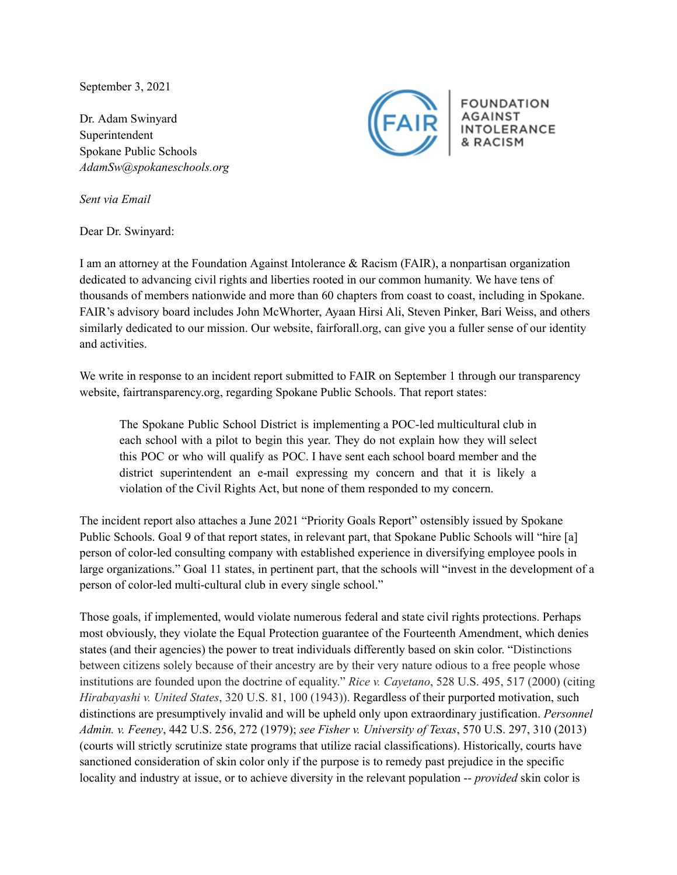September 3, 2021

Dr. Adam Swinyard Superintendent Spokane Public Schools *AdamSw@spokaneschools.org*



**FOUNDATION INTOLERANCE** & RACISM

*Sent via Email*

Dear Dr. Swinyard:

I am an attorney at the Foundation Against Intolerance & Racism (FAIR), a nonpartisan organization dedicated to advancing civil rights and liberties rooted in our common humanity. We have tens of thousands of members nationwide and more than 60 chapters from coast to coast, including in Spokane. FAIR's advisory board includes John McWhorter, Ayaan Hirsi Ali, Steven Pinker, Bari Weiss, and others similarly dedicated to our mission. Our website, fairforall.org, can give you a fuller sense of our identity and activities.

We write in response to an incident report submitted to FAIR on September 1 through our transparency website, fairtransparency.org, regarding Spokane Public Schools. That report states:

The Spokane Public School District is implementing a POC-led multicultural club in each school with a pilot to begin this year. They do not explain how they will select this POC or who will qualify as POC. I have sent each school board member and the district superintendent an e-mail expressing my concern and that it is likely a violation of the Civil Rights Act, but none of them responded to my concern.

The incident report also attaches a June 2021 "Priority Goals Report" ostensibly issued by Spokane Public Schools. Goal 9 of that report states, in relevant part, that Spokane Public Schools will "hire [a] person of color-led consulting company with established experience in diversifying employee pools in large organizations." Goal 11 states, in pertinent part, that the schools will "invest in the development of a person of color-led multi-cultural club in every single school."

Those goals, if implemented, would violate numerous federal and state civil rights protections. Perhaps most obviously, they violate the Equal Protection guarantee of the Fourteenth Amendment, which denies states (and their agencies) the power to treat individuals differently based on skin color. "Distinctions between citizens solely because of their ancestry are by their very nature odious to a free people whose institutions are founded upon the doctrine of equality." *Rice v. Cayetano*, 528 U.S. 495, 517 (2000) (citing *Hirabayashi v. United States*, 320 U.S. 81, 100 (1943)). Regardless of their purported motivation, such distinctions are presumptively invalid and will be upheld only upon extraordinary justification. *Personnel Admin. v. Feeney*, 442 U.S. 256, 272 (1979); *see Fisher v. University of Texas*, 570 U.S. 297, 310 (2013) (courts will strictly scrutinize state programs that utilize racial classifications). Historically, courts have sanctioned consideration of skin color only if the purpose is to remedy past prejudice in the specific locality and industry at issue, or to achieve diversity in the relevant population -- *provided* skin color is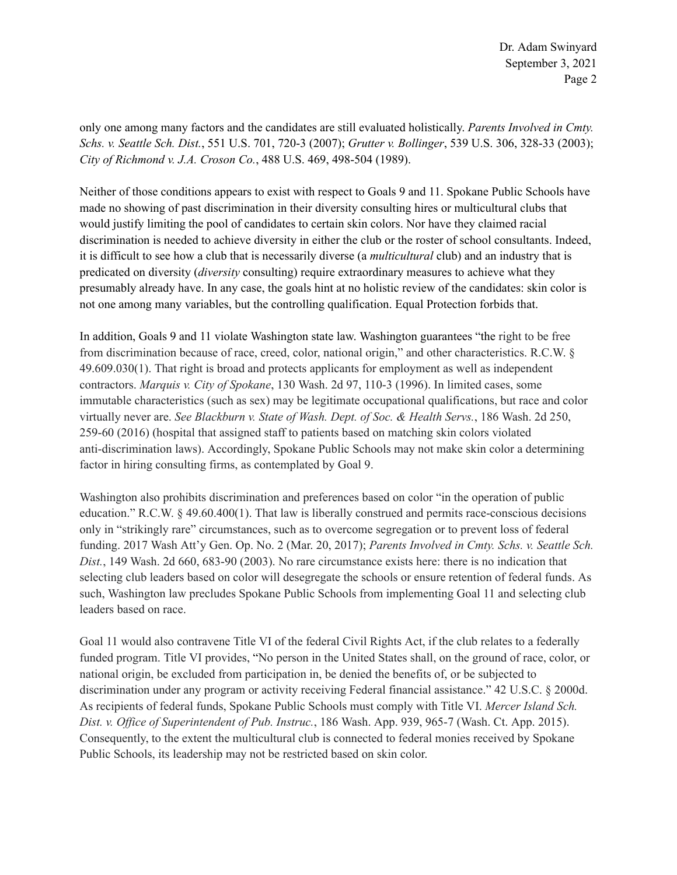only one among many factors and the candidates are still evaluated holistically. *Parents Involved in Cmty. Schs. v. Seattle Sch. Dist.*, 551 U.S. 701, 720-3 (2007); *Grutter v. Bollinger*, 539 U.S. 306, 328-33 (2003); *City of Richmond v. J.A. Croson Co.*, 488 U.S. 469, 498-504 (1989).

Neither of those conditions appears to exist with respect to Goals 9 and 11. Spokane Public Schools have made no showing of past discrimination in their diversity consulting hires or multicultural clubs that would justify limiting the pool of candidates to certain skin colors. Nor have they claimed racial discrimination is needed to achieve diversity in either the club or the roster of school consultants. Indeed, it is difficult to see how a club that is necessarily diverse (a *multicultural* club) and an industry that is predicated on diversity (*diversity* consulting) require extraordinary measures to achieve what they presumably already have. In any case, the goals hint at no holistic review of the candidates: skin color is not one among many variables, but the controlling qualification. Equal Protection forbids that.

In addition, Goals 9 and 11 violate Washington state law. Washington guarantees "the right to be free from discrimination because of race, creed, color, national origin," and other characteristics. R.C.W. § 49.609.030(1). That right is broad and protects applicants for employment as well as independent contractors. *Marquis v. City of Spokane*, 130 Wash. 2d 97, 110-3 (1996). In limited cases, some immutable characteristics (such as sex) may be legitimate occupational qualifications, but race and color virtually never are. *See Blackburn v. State of Wash. Dept. of Soc. & Health Servs.*, 186 Wash. 2d 250, 259-60 (2016) (hospital that assigned staff to patients based on matching skin colors violated anti-discrimination laws). Accordingly, Spokane Public Schools may not make skin color a determining factor in hiring consulting firms, as contemplated by Goal 9.

Washington also prohibits discrimination and preferences based on color "in the operation of public education." R.C.W. § 49.60.400(1). That law is liberally construed and permits race-conscious decisions only in "strikingly rare" circumstances, such as to overcome segregation or to prevent loss of federal funding. 2017 Wash Att'y Gen. Op. No. 2 (Mar. 20, 2017); *Parents Involved in Cmty. Schs. v. Seattle Sch. Dist.*, 149 Wash. 2d 660, 683-90 (2003). No rare circumstance exists here: there is no indication that selecting club leaders based on color will desegregate the schools or ensure retention of federal funds. As such, Washington law precludes Spokane Public Schools from implementing Goal 11 and selecting club leaders based on race.

Goal 11 would also contravene Title VI of the federal Civil Rights Act, if the club relates to a federally funded program. Title VI provides, "No person in the United States shall, on the ground of race, color, or national origin, be excluded from participation in, be denied the benefits of, or be subjected to discrimination under any program or activity receiving Federal financial assistance." 42 U.S.C. § 2000d. As recipients of federal funds, Spokane Public Schools must comply with Title VI. *Mercer Island Sch. Dist. v. Of ice of Superintendent of Pub. Instruc.*, 186 Wash. App. 939, 965-7 (Wash. Ct. App. 2015). Consequently, to the extent the multicultural club is connected to federal monies received by Spokane Public Schools, its leadership may not be restricted based on skin color.